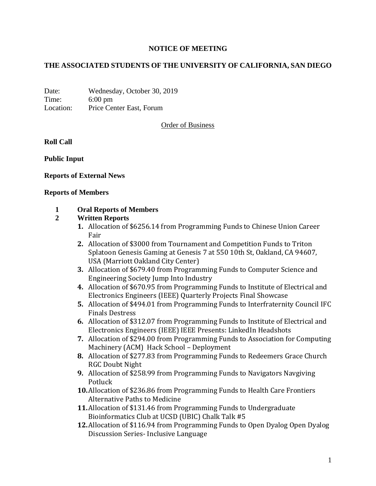# **NOTICE OF MEETING**

### **THE ASSOCIATED STUDENTS OF THE UNIVERSITY OF CALIFORNIA, SAN DIEGO**

Date: Wednesday, October 30, 2019 Time: 6:00 pm Location: Price Center East, Forum

Order of Business

**Roll Call**

**Public Input**

### **Reports of External News**

#### **Reports of Members**

### **1 Oral Reports of Members**

### **2 Written Reports**

- **1.** Allocation of \$6256.14 from Programming Funds to Chinese Union Career Fair
- **2.** Allocation of \$3000 from Tournament and Competition Funds to Triton Splatoon Genesis Gaming at Genesis 7 at 550 10th St, Oakland, CA 94607, USA (Marriott Oakland City Center)
- **3.** Allocation of \$679.40 from Programming Funds to Computer Science and Engineering Society Jump Into Industry
- **4.** Allocation of \$670.95 from Programming Funds to Institute of Electrical and Electronics Engineers (IEEE) Quarterly Projects Final Showcase
- **5.** Allocation of \$494.01 from Programming Funds to Interfraternity Council IFC Finals Destress
- **6.** Allocation of \$312.07 from Programming Funds to Institute of Electrical and Electronics Engineers (IEEE) IEEE Presents: LinkedIn Headshots
- **7.** Allocation of \$294.00 from Programming Funds to Association for Computing Machinery (ACM) Hack School – Deployment
- **8.** Allocation of \$277.83 from Programming Funds to Redeemers Grace Church RGC Doubt Night
- **9.** Allocation of \$258.99 from Programming Funds to Navigators Navgiving Potluck
- **10.**Allocation of \$236.86 from Programming Funds to Health Care Frontiers Alternative Paths to Medicine
- **11.**Allocation of \$131.46 from Programming Funds to Undergraduate Bioinformatics Club at UCSD (UBIC) Chalk Talk #5
- **12.**Allocation of \$116.94 from Programming Funds to Open Dyalog Open Dyalog Discussion Series- Inclusive Language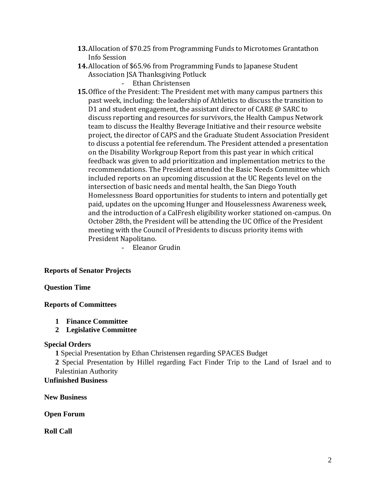- **13.**Allocation of \$70.25 from Programming Funds to Microtomes Grantathon Info Session
- **14.**Allocation of \$65.96 from Programming Funds to Japanese Student Association JSA Thanksgiving Potluck
	- Ethan Christensen
- **15.**Office of the President: The President met with many campus partners this past week, including: the leadership of Athletics to discuss the transition to D1 and student engagement, the assistant director of CARE @ SARC to discuss reporting and resources for survivors, the Health Campus Network team to discuss the Healthy Beverage Initiative and their resource website project, the director of CAPS and the Graduate Student Association President to discuss a potential fee referendum. The President attended a presentation on the Disability Workgroup Report from this past year in which critical feedback was given to add prioritization and implementation metrics to the recommendations. The President attended the Basic Needs Committee which included reports on an upcoming discussion at the UC Regents level on the intersection of basic needs and mental health, the San Diego Youth Homelessness Board opportunities for students to intern and potentially get paid, updates on the upcoming Hunger and Houselessness Awareness week, and the introduction of a CalFresh eligibility worker stationed on-campus. On October 28th, the President will be attending the UC Office of the President meeting with the Council of Presidents to discuss priority items with President Napolitano.

- Eleanor Grudin

# **Reports of Senator Projects**

# **Question Time**

# **Reports of Committees**

- **1 Finance Committee**
- **2 Legislative Committee**

### **Special Orders**

**1** Special Presentation by Ethan Christensen regarding SPACES Budget

**2** Special Presentation by Hillel regarding Fact Finder Trip to the Land of Israel and to Palestinian Authority

# **Unfinished Business**

**New Business**

**Open Forum**

**Roll Call**